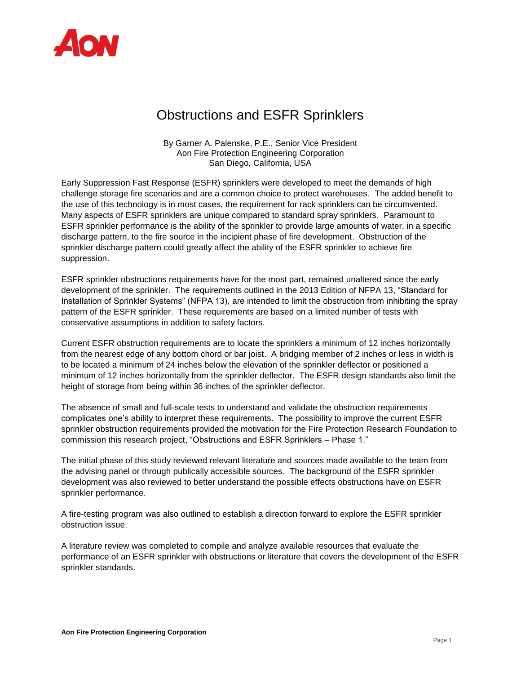

## Obstructions and ESFR Sprinklers

By Garner A. Palenske, P.E., Senior Vice President Aon Fire Protection Engineering Corporation San Diego, California, USA

Early Suppression Fast Response (ESFR) sprinklers were developed to meet the demands of high challenge storage fire scenarios and are a common choice to protect warehouses. The added benefit to the use of this technology is in most cases, the requirement for rack sprinklers can be circumvented. Many aspects of ESFR sprinklers are unique compared to standard spray sprinklers. Paramount to ESFR sprinkler performance is the ability of the sprinkler to provide large amounts of water, in a specific discharge pattern, to the fire source in the incipient phase of fire development. Obstruction of the sprinkler discharge pattern could greatly affect the ability of the ESFR sprinkler to achieve fire suppression.

ESFR sprinkler obstructions requirements have for the most part, remained unaltered since the early development of the sprinkler. The requirements outlined in the 2013 Edition of NFPA 13, "Standard for Installation of Sprinkler Systems" (NFPA 13), are intended to limit the obstruction from inhibiting the spray pattern of the ESFR sprinkler. These requirements are based on a limited number of tests with conservative assumptions in addition to safety factors.

Current ESFR obstruction requirements are to locate the sprinklers a minimum of 12 inches horizontally from the nearest edge of any bottom chord or bar joist. A bridging member of 2 inches or less in width is to be located a minimum of 24 inches below the elevation of the sprinkler deflector or positioned a minimum of 12 inches horizontally from the sprinkler deflector. The ESFR design standards also limit the height of storage from being within 36 inches of the sprinkler deflector.

The absence of small and full-scale tests to understand and validate the obstruction requirements complicates one's ability to interpret these requirements. The possibility to improve the current ESFR sprinkler obstruction requirements provided the motivation for the Fire Protection Research Foundation to commission this research project, "Obstructions and ESFR Sprinklers – Phase 1."

The initial phase of this study reviewed relevant literature and sources made available to the team from the advising panel or through publically accessible sources. The background of the ESFR sprinkler development was also reviewed to better understand the possible effects obstructions have on ESFR sprinkler performance.

A fire-testing program was also outlined to establish a direction forward to explore the ESFR sprinkler obstruction issue.

A literature review was completed to compile and analyze available resources that evaluate the performance of an ESFR sprinkler with obstructions or literature that covers the development of the ESFR sprinkler standards.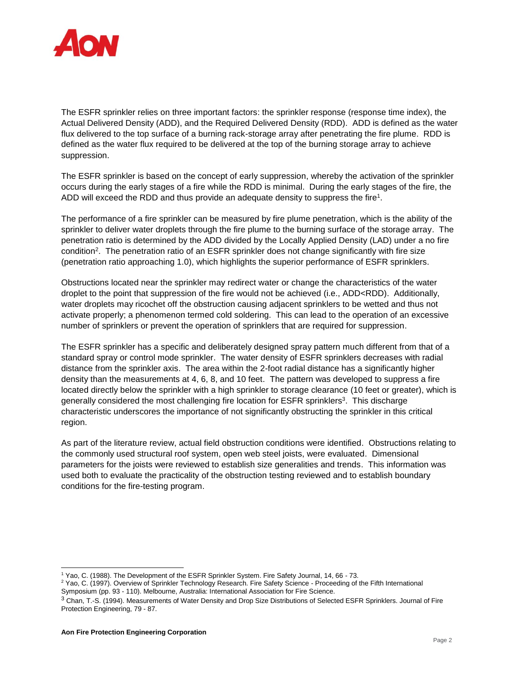

The ESFR sprinkler relies on three important factors: the sprinkler response (response time index), the Actual Delivered Density (ADD), and the Required Delivered Density (RDD). ADD is defined as the water flux delivered to the top surface of a burning rack-storage array after penetrating the fire plume. RDD is defined as the water flux required to be delivered at the top of the burning storage array to achieve suppression.

The ESFR sprinkler is based on the concept of early suppression, whereby the activation of the sprinkler occurs during the early stages of a fire while the RDD is minimal. During the early stages of the fire, the ADD will exceed the RDD and thus provide an adequate density to suppress the fire<sup>1</sup>.

The performance of a fire sprinkler can be measured by fire plume penetration, which is the ability of the sprinkler to deliver water droplets through the fire plume to the burning surface of the storage array. The penetration ratio is determined by the ADD divided by the Locally Applied Density (LAD) under a no fire condition<sup>2</sup> . The penetration ratio of an ESFR sprinkler does not change significantly with fire size (penetration ratio approaching 1.0), which highlights the superior performance of ESFR sprinklers.

Obstructions located near the sprinkler may redirect water or change the characteristics of the water droplet to the point that suppression of the fire would not be achieved (i.e., ADD<RDD). Additionally, water droplets may ricochet off the obstruction causing adjacent sprinklers to be wetted and thus not activate properly; a phenomenon termed cold soldering. This can lead to the operation of an excessive number of sprinklers or prevent the operation of sprinklers that are required for suppression.

The ESFR sprinkler has a specific and deliberately designed spray pattern much different from that of a standard spray or control mode sprinkler. The water density of ESFR sprinklers decreases with radial distance from the sprinkler axis. The area within the 2-foot radial distance has a significantly higher density than the measurements at 4, 6, 8, and 10 feet. The pattern was developed to suppress a fire located directly below the sprinkler with a high sprinkler to storage clearance (10 feet or greater), which is generally considered the most challenging fire location for ESFR sprinklers<sup>3</sup>. This discharge characteristic underscores the importance of not significantly obstructing the sprinkler in this critical region.

As part of the literature review, actual field obstruction conditions were identified. Obstructions relating to the commonly used structural roof system, open web steel joists, were evaluated. Dimensional parameters for the joists were reviewed to establish size generalities and trends. This information was used both to evaluate the practicality of the obstruction testing reviewed and to establish boundary conditions for the fire-testing program.

l

<sup>1</sup> Yao, C. (1988). The Development of the ESFR Sprinkler System. Fire Safety Journal, 14, 66 - 73.

<sup>&</sup>lt;sup>2</sup> Yao, C. (1997). Overview of Sprinkler Technology Research. Fire Safety Science - Proceeding of the Fifth International Symposium (pp. 93 - 110). Melbourne, Australia: International Association for Fire Science.

<sup>3</sup> Chan, T.-S. (1994). Measurements of Water Density and Drop Size Distributions of Selected ESFR Sprinklers. Journal of Fire Protection Engineering, 79 - 87.